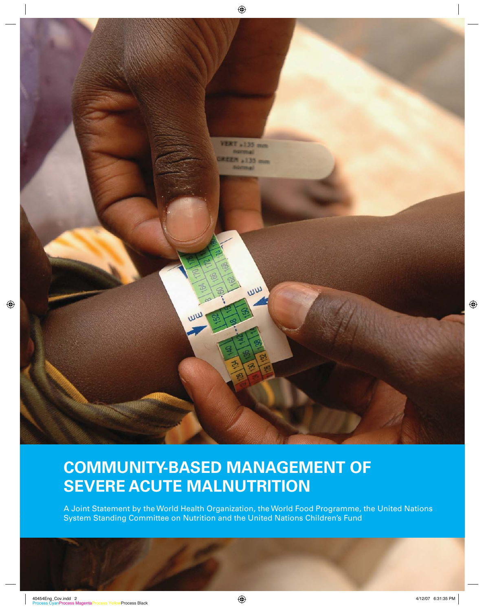

# **COMMUNITY-BASED MANAGEMENT OF SEVERE ACUTE MALNUTRITION**

A Joint Statement by the World Health Organization, the World Food Programme, the United Nations System Standing Committee on Nutrition and the United Nations Children's Fund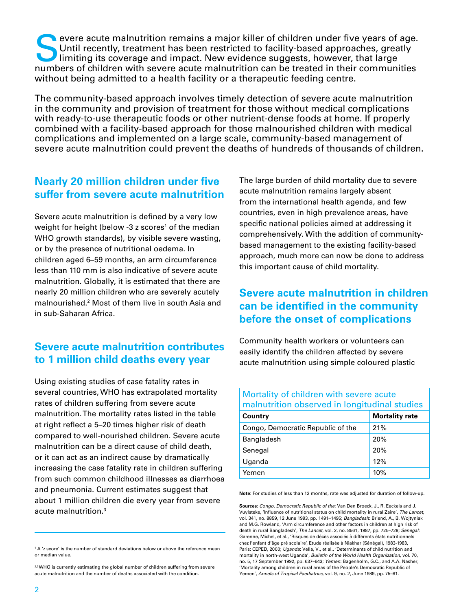Severe acute malnutrition remains a major killer of children under five years of age. Until recently, treatment has been restricted to facility-based approaches, greatly Imiting its coverage and impact. New evidence suggests, however, that large numbers of children with severe acute malnutrition can be treated in their communities without being admitted to a health facility or a therapeutic feeding centre.

The community-based approach involves timely detection of severe acute malnutrition in the community and provision of treatment for those without medical complications with ready-to-use therapeutic foods or other nutrient-dense foods at home. If properly combined with a facility-based approach for those malnourished children with medical complications and implemented on a large scale, community-based management of severe acute malnutrition could prevent the deaths of hundreds of thousands of children.

## **Nearly 20 million children under five suffer from severe acute malnutrition**

Severe acute malnutrition is defined by a very low weight for height (below -3 z scores $^{\rm 1}$  of the median WHO growth standards), by visible severe wasting, or by the presence of nutritional oedema. In children aged 6–59 months, an arm circumference less than 110 mm is also indicative of severe acute malnutrition. Globally, it is estimated that there are nearly 20 million children who are severely acutely malnourished.2 Most of them live in south Asia and in sub-Saharan Africa.

## **Severe acute malnutrition contributes to 1 million child deaths every year**

Using existing studies of case fatality rates in several countries, WHO has extrapolated mortality rates of children suffering from severe acute malnutrition. The mortality rates listed in the table at right reflect a 5–20 times higher risk of death compared to well-nourished children. Severe acute malnutrition can be a direct cause of child death, or it can act as an indirect cause by dramatically increasing the case fatality rate in children suffering from such common childhood illnesses as diarrhoea and pneumonia. Current estimates suggest that about 1 million children die every year from severe acute malnutrition.3

2,3 WHO is currently estimating the global number of children suffering from severe acute malnutrition and the number of deaths associated with the condition.

The large burden of child mortality due to severe acute malnutrition remains largely absent from the international health agenda, and few countries, even in high prevalence areas, have specific national policies aimed at addressing it comprehensively. With the addition of communitybased management to the existing facility-based approach, much more can now be done to address this important cause of child mortality.

## **Severe acute malnutrition in children can be identified in the community before the onset of complications**

Community health workers or volunteers can easily identify the children affected by severe acute malnutrition using simple coloured plastic

| Mortality of children with severe acute<br>malnutrition observed in longitudinal studies |                       |  |
|------------------------------------------------------------------------------------------|-----------------------|--|
| Country                                                                                  | <b>Mortality rate</b> |  |
| Congo, Democratic Republic of the                                                        | 21%                   |  |
| Bangladesh                                                                               | 20%                   |  |
| Senegal                                                                                  | 20%                   |  |
| Uganda                                                                                   | 12%                   |  |
| Yemen                                                                                    | 10%                   |  |
|                                                                                          |                       |  |

**Note**: For studies of less than 12 months, rate was adjusted for duration of follow-up.

**Sources**: *Congo, Democratic Republic of the*: Van Den Broeck, J., R. Eeckels and J. Vuylsteke, 'Influence of nutritional status on child mortality in rural Zaire', *The Lancet*, vol. 341, no. 8859, 12 June 1993, pp. 1491–1495; *Bangladesh*: Briend, A., B. Wojtyniak and M.G. Rowland, 'Arm circumference and other factors in children at high risk of death in rural Bangladesh', *The Lancet*, vol. 2, no. 8561, 1987, pp. 725–728; *Senegal*: Garenne, Michel, et al., 'Risques de décès associés à différents états nutritionnels chez l'enfant d'âge pré scolaire', Etude réalisée à Niakhar (Sénégal), 1983-1983, Paris: CEPED, 2000; *Uganda*: Vella, V., et al., 'Determinants of child nutrition and mortality in north-west Uganda', *Bulletin of the World Health Organization*, vol. 70, no. 5, 17 September 1992, pp. 637–643; *Yemen*: Bagenholm, G.C., and A.A. Nasher, 'Mortality among children in rural areas of the People's Democratic Republic of Yemen', *Annals of Tropical Paediatrics*, vol. 9, no. 2, June 1989, pp. 75–81.

<sup>1</sup> A 'z score' is the number of standard deviations below or above the reference mean or median value.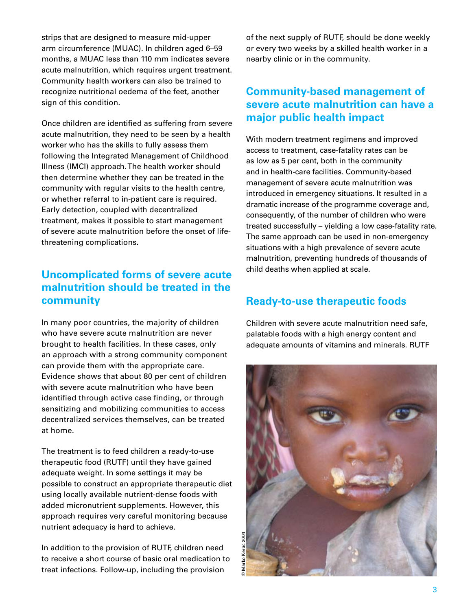strips that are designed to measure mid-upper arm circumference (MUAC). In children aged 6–59 months, a MUAC less than 110 mm indicates severe acute malnutrition, which requires urgent treatment. Community health workers can also be trained to recognize nutritional oedema of the feet, another sign of this condition.

Once children are identified as suffering from severe acute malnutrition, they need to be seen by a health worker who has the skills to fully assess them following the Integrated Management of Childhood Illness (IMCI) approach. The health worker should then determine whether they can be treated in the community with regular visits to the health centre, or whether referral to in-patient care is required. Early detection, coupled with decentralized treatment, makes it possible to start management of severe acute malnutrition before the onset of lifethreatening complications.

# **Uncomplicated forms of severe acute malnutrition should be treated in the community**

In many poor countries, the majority of children who have severe acute malnutrition are never brought to health facilities. In these cases, only an approach with a strong community component can provide them with the appropriate care. Evidence shows that about 80 per cent of children with severe acute malnutrition who have been identified through active case finding, or through sensitizing and mobilizing communities to access decentralized services themselves, can be treated at home.

The treatment is to feed children a ready-to-use therapeutic food (RUTF) until they have gained adequate weight. In some settings it may be possible to construct an appropriate therapeutic diet using locally available nutrient-dense foods with added micronutrient supplements. However, this approach requires very careful monitoring because nutrient adequacy is hard to achieve.

In addition to the provision of RUTF, children need to receive a short course of basic oral medication to treat infections. Follow-up, including the provision

of the next supply of RUTF, should be done weekly or every two weeks by a skilled health worker in a nearby clinic or in the community.

## **Community-based management of severe acute malnutrition can have a major public health impact**

With modern treatment regimens and improved access to treatment, case-fatality rates can be as low as 5 per cent, both in the community and in health-care facilities. Community-based management of severe acute malnutrition was introduced in emergency situations. It resulted in a dramatic increase of the programme coverage and, consequently, of the number of children who were treated successfully – yielding a low case-fatality rate. The same approach can be used in non-emergency situations with a high prevalence of severe acute malnutrition, preventing hundreds of thousands of child deaths when applied at scale.

# **Ready-to-use therapeutic foods**

Children with severe acute malnutrition need safe, palatable foods with a high energy content and adequate amounts of vitamins and minerals. RUTF

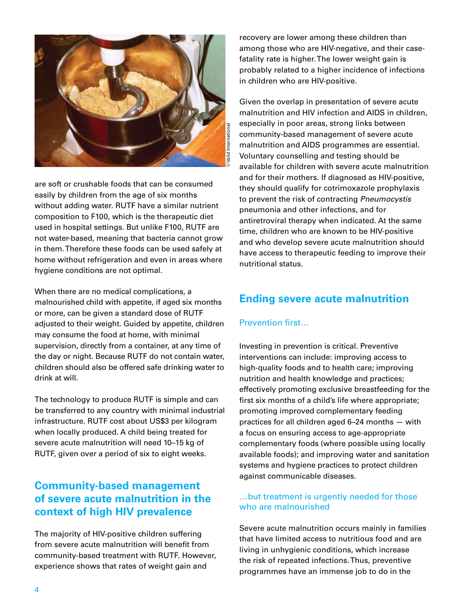

are soft or crushable foods that can be consumed easily by children from the age of six months without adding water. RUTF have a similar nutrient composition to F100, which is the therapeutic diet used in hospital settings. But unlike F100, RUTF are not water-based, meaning that bacteria cannot grow in them. Therefore these foods can be used safely at home without refrigeration and even in areas where hygiene conditions are not optimal.

When there are no medical complications, a malnourished child with appetite, if aged six months or more, can be given a standard dose of RUTF adjusted to their weight. Guided by appetite, children may consume the food at home, with minimal supervision, directly from a container, at any time of the day or night. Because RUTF do not contain water, children should also be offered safe drinking water to drink at will.

The technology to produce RUTF is simple and can be transferred to any country with minimal industrial infrastructure. RUTF cost about US\$3 per kilogram when locally produced. A child being treated for severe acute malnutrition will need 10–15 kg of RUTF, given over a period of six to eight weeks.

## **Community-based management of severe acute malnutrition in the context of high HIV prevalence**

The majority of HIV-positive children suffering from severe acute malnutrition will benefit from community-based treatment with RUTF. However, experience shows that rates of weight gain and

recovery are lower among these children than among those who are HIV-negative, and their casefatality rate is higher. The lower weight gain is probably related to a higher incidence of infections in children who are HIV-positive.

Given the overlap in presentation of severe acute malnutrition and HIV infection and AIDS in children, especially in poor areas, strong links between community-based management of severe acute malnutrition and AIDS programmes are essential. Voluntary counselling and testing should be available for children with severe acute malnutrition and for their mothers. If diagnosed as HIV-positive, they should qualify for cotrimoxazole prophylaxis to prevent the risk of contracting *Pneumocystis* pneumonia and other infections, and for antiretroviral therapy when indicated. At the same time, children who are known to be HIV-positive and who develop severe acute malnutrition should have access to therapeutic feeding to improve their nutritional status.

## **Ending severe acute malnutrition**

### Prevention first…

Investing in prevention is critical. Preventive interventions can include: improving access to high-quality foods and to health care; improving nutrition and health knowledge and practices; effectively promoting exclusive breastfeeding for the first six months of a child's life where appropriate; promoting improved complementary feeding practices for all children aged 6–24 months — with a focus on ensuring access to age-appropriate complementary foods (where possible using locally available foods); and improving water and sanitation systems and hygiene practices to protect children against communicable diseases.

#### …but treatment is urgently needed for those who are malnourished

Severe acute malnutrition occurs mainly in families that have limited access to nutritious food and are living in unhygienic conditions, which increase the risk of repeated infections. Thus, preventive programmes have an immense job to do in the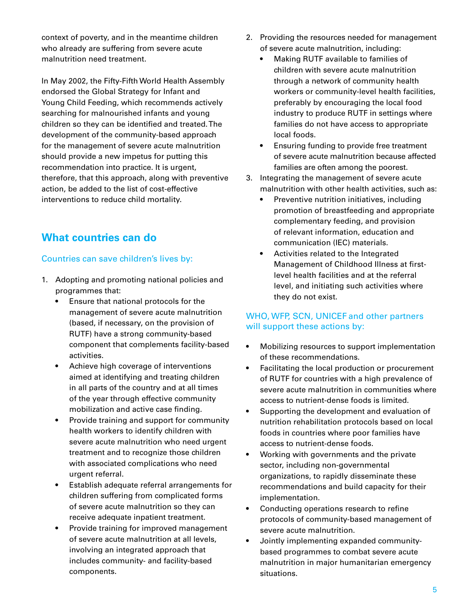context of poverty, and in the meantime children who already are suffering from severe acute malnutrition need treatment.

In May 2002, the Fifty-Fifth World Health Assembly endorsed the Global Strategy for Infant and Young Child Feeding, which recommends actively searching for malnourished infants and young children so they can be identified and treated. The development of the community-based approach for the management of severe acute malnutrition should provide a new impetus for putting this recommendation into practice. It is urgent, therefore, that this approach, along with preventive action, be added to the list of cost-effective interventions to reduce child mortality.

## **What countries can do**

### Countries can save children's lives by:

- Adopting and promoting national policies and 1. programmes that:
	- Ensure that national protocols for the management of severe acute malnutrition (based, if necessary, on the provision of RUTF) have a strong community-based component that complements facility-based activities. •
	- Achieve high coverage of interventions aimed at identifying and treating children in all parts of the country and at all times of the year through effective community mobilization and active case finding. •
	- Provide training and support for community health workers to identify children with severe acute malnutrition who need urgent treatment and to recognize those children with associated complications who need urgent referral. •
	- Establish adequate referral arrangements for children suffering from complicated forms of severe acute malnutrition so they can receive adequate inpatient treatment.
	- Provide training for improved management of severe acute malnutrition at all levels, involving an integrated approach that includes community- and facility-based components. •
- 2. Providing the resources needed for management of severe acute malnutrition, including:
	- Making RUTF available to families of children with severe acute malnutrition through a network of community health workers or community-level health facilities, preferably by encouraging the local food industry to produce RUTF in settings where families do not have access to appropriate local foods. •
	- Ensuring funding to provide free treatment of severe acute malnutrition because affected families are often among the poorest. •
- 3. Integrating the management of severe acute malnutrition with other health activities, such as:
	- Preventive nutrition initiatives, including promotion of breastfeeding and appropriate complementary feeding, and provision of relevant information, education and communication (IEC) materials. •
	- Activities related to the Integrated Management of Childhood Illness at firstlevel health facilities and at the referral level, and initiating such activities where they do not exist. •

### WHO, WFP, SCN, UNICEF and other partners will support these actions by:

- Mobilizing resources to support implementation of these recommendations. •
- Facilitating the local production or procurement of RUTF for countries with a high prevalence of severe acute malnutrition in communities where access to nutrient-dense foods is limited.  $\bullet$
- Supporting the development and evaluation of nutrition rehabilitation protocols based on local foods in countries where poor families have access to nutrient-dense foods. •
- Working with governments and the private sector, including non-governmental organizations, to rapidly disseminate these recommendations and build capacity for their implementation. •
- Conducting operations research to refine protocols of community-based management of severe acute malnutrition. •
- Jointly implementing expanded communitybased programmes to combat severe acute malnutrition in major humanitarian emergency situations.  $\bullet$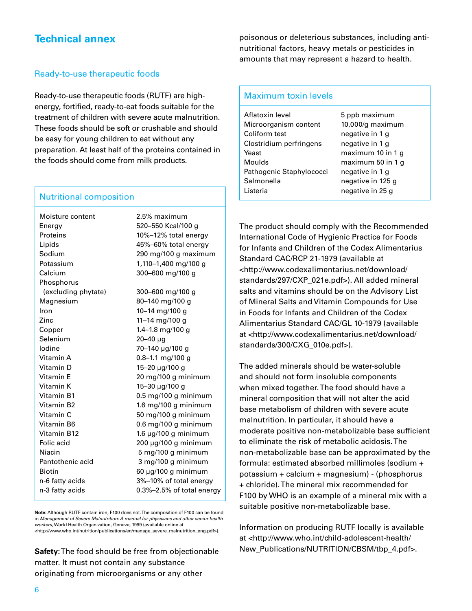## **Technical annex**

#### Ready-to-use therapeutic foods

Ready-to-use therapeutic foods (RUTF) are highenergy, fortified, ready-to-eat foods suitable for the treatment of children with severe acute malnutrition. These foods should be soft or crushable and should be easy for young children to eat without any preparation. At least half of the proteins contained in the foods should come from milk products.

#### Nutritional composition

Moisture content 2.5% maximum Energy 520–550 Kcal/100 g Proteins 10%–12% total energy Lipids 45%–60% total energy Sodium 290 mg/100 g maximum Potassium 1,110–1,400 mg/100 g Calcium 300–600 mg/100 g Phosphorus (excluding phytate) 300–600 mg/100 g Magnesium 80–140 mg/100 g Iron 10–14 mg/100 g Zinc 11–14 mg/100 g Copper 1.4–1.8 mg/100 g Selenium 20–40 µg Iodine 70–140 µg/100 g Vitamin A 0.8–1.1 mg/100 g Vitamin D 15–20 µg/100 g Vitamin E 20 mg/100 g minimum Vitamin K 15–30 µg/100 g Vitamin B1 0.5 mg/100 g minimum Vitamin B2 1.6 mg/100 g minimum Vitamin C 50 mg/100 g minimum Vitamin B6 0.6 mg/100 g minimum Vitamin B12 1.6 µg/100 g minimum Folic acid 200 µg/100 g minimum Niacin 5 mg/100 g minimum Pantothenic acid 3 mg/100 g minimum Biotin 60 µg/100 g minimum n-6 fatty acids 3%–10% of total energy n-3 fatty acids 0.3%–2.5% of total energy

**Note:** Although RUTF contain iron, F100 does not. The composition of F100 can be found in *Management of Severe Malnutrition: A manual for physicians and other senior health workers*, World Health Organization, Geneva, 1999 (available online at <http://www.who.int/nutrition/publications/en/manage\_severe\_malnutrition\_eng.pdf>).

**Safety:** The food should be free from objectionable matter. It must not contain any substance originating from microorganisms or any other

poisonous or deleterious substances, including antinutritional factors, heavy metals or pesticides in amounts that may represent a hazard to health.

| <b>Maximum toxin levels</b>                                                                                                                                   |                                                                                                                                                                               |  |
|---------------------------------------------------------------------------------------------------------------------------------------------------------------|-------------------------------------------------------------------------------------------------------------------------------------------------------------------------------|--|
| Aflatoxin level<br>Microorganism content<br>Coliform test<br>Clostridium perfringens<br>Yeast<br>Moulds<br>Pathogenic Staphylococci<br>Salmonella<br>Listeria | 5 ppb maximum<br>10,000/g maximum<br>negative in 1 g<br>negative in 1 g<br>maximum 10 in 1 g<br>maximum 50 in 1 g<br>negative in 1 g<br>negative in 125 g<br>negative in 25 g |  |
|                                                                                                                                                               |                                                                                                                                                                               |  |

The product should comply with the Recommended International Code of Hygienic Practice for Foods for Infants and Children of the Codex Alimentarius Standard CAC/RCP 21-1979 (available at <http://www.codexalimentarius.net/download/ standards/297/CXP\_021e.pdf>). All added mineral salts and vitamins should be on the Advisory List of Mineral Salts and Vitamin Compounds for Use in Foods for Infants and Children of the Codex Alimentarius Standard CAC/GL 10-1979 (available at <http://www.codexalimentarius.net/download/ standards/300/CXG\_010e.pdf>).

The added minerals should be water-soluble and should not form insoluble components when mixed together. The food should have a mineral composition that will not alter the acid base metabolism of children with severe acute malnutrition. In particular, it should have a moderate positive non-metabolizable base sufficient to eliminate the risk of metabolic acidosis. The non-metabolizable base can be approximated by the formula: estimated absorbed millimoles (sodium + potassium + calcium + magnesium) - (phosphorus + chloride). The mineral mix recommended for F100 by WHO is an example of a mineral mix with a suitable positive non-metabolizable base.

Information on producing RUTF locally is available at <http://www.who.int/child-adolescent-health/ New\_Publications/NUTRITION/CBSM/tbp\_4.pdf>.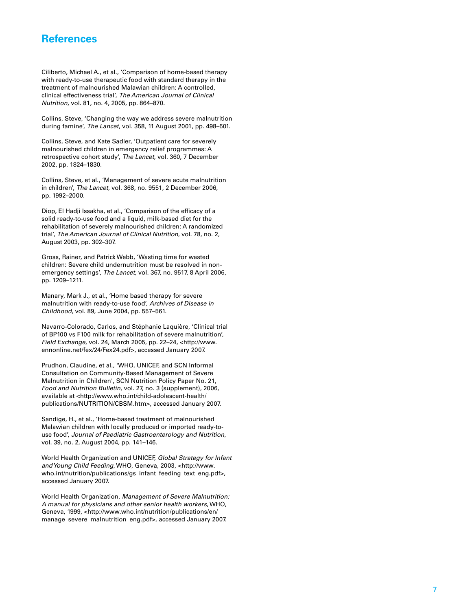## **References**

Ciliberto, Michael A., et al., 'Comparison of home-based therapy with ready-to-use therapeutic food with standard therapy in the treatment of malnourished Malawian children: A controlled, clinical effectiveness trial', *The American Journal of Clinical Nutrition*, vol. 81, no. 4, 2005, pp. 864–870.

Collins, Steve, 'Changing the way we address severe malnutrition during famine', *The Lancet*, vol. 358, 11 August 2001, pp. 498–501.

Collins, Steve, and Kate Sadler, 'Outpatient care for severely malnourished children in emergency relief programmes: A retrospective cohort study', *The Lancet*, vol. 360, 7 December 2002, pp. 1824–1830.

Collins, Steve, et al., 'Management of severe acute malnutrition in children', *The Lancet*, vol. 368, no. 9551, 2 December 2006, pp. 1992–2000.

Diop, El Hadji Issakha, et al., 'Comparison of the efficacy of a solid ready-to-use food and a liquid, milk-based diet for the rehabilitation of severely malnourished children: A randomized trial', *The American Journal of Clinical Nutrition*, vol. 78, no. 2, August 2003, pp. 302–307.

Gross, Rainer, and Patrick Webb, 'Wasting time for wasted children: Severe child undernutrition must be resolved in nonemergency settings', *The Lancet*, vol. 367, no. 9517, 8 April 2006, pp. 1209–1211.

Manary, Mark J., et al., 'Home based therapy for severe malnutrition with ready-to-use food', *Archives of Disease in Childhood*, vol. 89, June 2004, pp. 557–561.

Navarro-Colorado, Carlos, and Stéphanie Laquière, 'Clinical trial of BP100 vs F100 milk for rehabilitation of severe malnutrition', *Field Exchange*, vol. 24, March 2005, pp. 22–24, <http://www. ennonline.net/fex/24/Fex24.pdf>, accessed January 2007.

Prudhon, Claudine, et al., 'WHO, UNICEF, and SCN Informal Consultation on Community-Based Management of Severe Malnutrition in Children', SCN Nutrition Policy Paper No. 21, *Food and Nutrition Bulletin*, vol. 27, no. 3 (supplement), 2006, available at <http://www.who.int/child-adolescent-health/ publications/NUTRITION/CBSM.htm>, accessed January 2007.

Sandige, H., et al., 'Home-based treatment of malnourished Malawian children with locally produced or imported ready-touse food', *Journal of Paediatric Gastroenterology and Nutrition*, vol. 39, no. 2, August 2004, pp. 141–146.

World Health Organization and UNICEF, *Global Strategy for Infant and Young Child Feeding*, WHO, Geneva, 2003, <http://www. who.int/nutrition/publications/gs\_infant\_feeding\_text\_eng.pdf>, accessed January 2007.

World Health Organization, *Management of Severe Malnutrition: A manual for physicians and other senior health workers*, WHO, Geneva, 1999, <http://www.who.int/nutrition/publications/en/ manage\_severe\_malnutrition\_eng.pdf>, accessed January 2007.